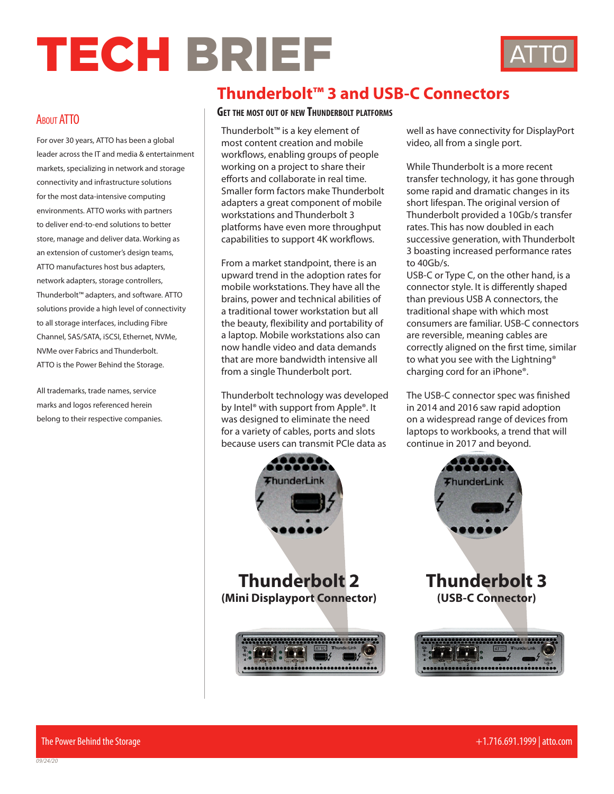# TECH BRIEF



#### **ABOUT ATTO**

For over 30 years, ATTO has been a global leader across the IT and media & entertainment markets, specializing in network and storage connectivity and infrastructure solutions for the most data-intensive computing environments. ATTO works with partners to deliver end-to-end solutions to better store, manage and deliver data. Working as an extension of customer's design teams, ATTO manufactures host bus adapters, network adapters, storage controllers, Thunderbolt™ adapters, and software. ATTO solutions provide a high level of connectivity to all storage interfaces, including Fibre Channel, SAS/SATA, iSCSI, Ethernet, NVMe, NVMe over Fabrics and Thunderbolt. ATTO is the Power Behind the Storage.

All trademarks, trade names, service marks and logos referenced herein belong to their respective companies.

### **Thunderbolt™ 3 and USB-C Connectors**

#### **Get the most out of new Thunderbolt platforms**

Thunderbolt™ is a key element of most content creation and mobile workflows, enabling groups of people working on a project to share their efforts and collaborate in real time. Smaller form factors make Thunderbolt adapters a great component of mobile workstations and Thunderbolt 3 platforms have even more throughput capabilities to support 4K workflows.

From a market standpoint, there is an upward trend in the adoption rates for mobile workstations. They have all the brains, power and technical abilities of a traditional tower workstation but all the beauty, flexibility and portability of a laptop. Mobile workstations also can now handle video and data demands that are more bandwidth intensive all from a single Thunderbolt port.

Thunderbolt technology was developed by Intel® with support from Apple®. It was designed to eliminate the need for a variety of cables, ports and slots because users can transmit PCIe data as

well as have connectivity for DisplayPort video, all from a single port.

While Thunderbolt is a more recent transfer technology, it has gone through some rapid and dramatic changes in its short lifespan. The original version of Thunderbolt provided a 10Gb/s transfer rates. This has now doubled in each successive generation, with Thunderbolt 3 boasting increased performance rates to 40Gb/s.

USB-C or Type C, on the other hand, is a connector style. It is differently shaped than previous USB A connectors, the traditional shape with which most consumers are familiar. USB-C connectors are reversible, meaning cables are correctly aligned on the first time, similar to what you see with the Lightning® charging cord for an iPhone®.

The USB-C connector spec was finished in 2014 and 2016 saw rapid adoption on a widespread range of devices from laptops to workbooks, a trend that will continue in 2017 and beyond.



*09/24/20*